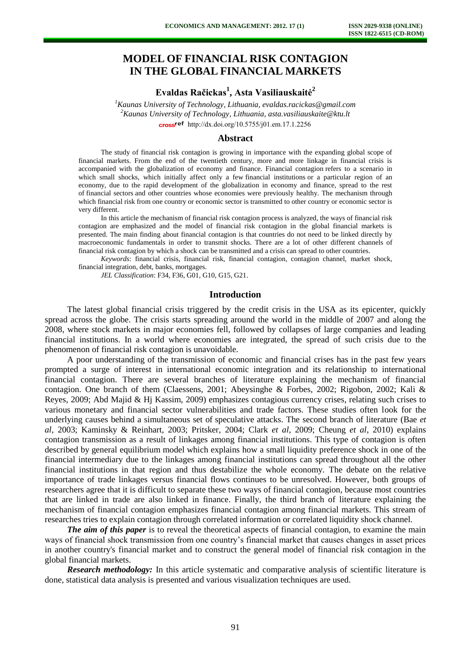# **MODEL OF FINANCIAL RISK CONTAGION IN THE GLOBAL FINANCIAL MARKETS**

**Evaldas Račickas<sup>1</sup> , Asta Vasiliauskaitė<sup>2</sup>**

*<sup>1</sup>Kaunas University of Technology, Lithuania, evaldas.racickas@gmail.com <sup>2</sup>Kaunas University of Technology, Lithuania, asta.vasiliauskaite@ktu.lt*  cross<sup>ref</sup> [http://dx.doi.org/10.5755/j01.e](http://dx.doi.org/10.5755/j01.em.17.1.2256)m.17.1.2256

#### **Abstract**

The study of financial risk contagion is growing in importance with the expanding global scope of financial markets. From the end of the twentieth century, more and more linkage in financial crisis is accompanied with the globalization of economy and finance. Financial contagion refers to a scenario in which small shocks, which initially affect only a few [financial institutions](http://en.wikipedia.org/wiki/Financial_institutions) or a particular region of an economy, due to the rapid development of the globalization in economy and finance, spread to the rest of [financial sectors a](http://en.wikipedia.org/wiki/Financial_sector)nd other countries whose economies were previously healthy. The mechanism through which financial risk from one country or economic sector is transmitted to other country or economic sector is very different.

In this article the mechanism of financial risk contagion process is analyzed, the ways of financial risk contagion are emphasized and the model of financial risk contagion in the global financial markets is presented. The main finding about financial contagion is that countries do not need to be linked directly by macroeconomic fundamentals in order to transmit shocks. There are a lot of other different channels of financial risk contagion by which a shock can be transmitted and a crisis can spread to other countries.

*Keywords*: financial crisis, financial risk, financial contagion, contagion channel, market shock, financial integration, debt, banks, mortgages.

*JEL Classification*: F34, F36, G01, G10, G15, G21.

#### **Introduction**

The latest global financial crisis triggered by the credit crisis in the USA as its epicenter, quickly spread across the globe. The crisis starts spreading around the world in the middle of 2007 and along the 2008, where stock markets in major economies fell, followed by collapses of large companies and leading financial institutions. In a world where economies are integrated, the spread of such crisis due to the phenomenon of financial risk contagion is unavoidable.

A poor understanding of the transmission of economic and financial crises has in the past few years prompted a surge of interest in international economic integration and its relationship to international financial contagion. There are several branches of literature explaining the mechanism of financial contagion. One branch of them (Claessens, 2001; Abeysinghe & Forbes, 2002; Rigobon, 2002; Kali & Reyes, 2009; Abd Majid & Hj Kassim, 2009) emphasizes contagious [currency crises,](http://en.wikipedia.org/wiki/Currency_crises) relating such crises to various monetary and financial sector vulnerabilities and trade factors. These studies often look for the underlying causes behind a simultaneous set of [speculative attacks.](http://en.wikipedia.org/wiki/Speculative_attacks) The second branch of literature (Bae *et al*, 2003; Kaminsky & Reinhart, 2003; Pritsker, 2004; Clark *et al*, 2009; Cheung *et al*, 2010) explains contagion transmission as a result of linkages among financial institutions. This type of contagion is often described by [general equilibrium model](http://en.wikipedia.org/wiki/General_equilibrium_model) which explains how a small [liquidity preference](http://en.wikipedia.org/wiki/Liquidity_preference) shock in one of the financial intermediary due to the linkages among financial institutions can spread throughout all the other financial institutions in that region and thus destabilize the whole economy. The debate on the relative importance of trade linkages versus financial flows continues to be unresolved. However, both groups of researchers agree that it is difficult to separate these two ways of financial contagion, because most countries that are linked in trade are also linked in finance. Finally, the third branch of literature explaining the mechanism of financial contagion emphasizes financial contagion among financial markets. This stream of researches tries to explain contagion through correlated information or correlated liquidity shock channel.

*The aim of this paper* is to reveal the theoretical aspects of financial contagion, to examine the main ways of financial shock transmission from one country's financial market that causes changes in asset prices in another country's financial market and to construct the general model of financial risk contagion in the global financial markets.

*Research methodology:* In this article systematic and comparative analysis of scientific literature is done, statistical data analysis is presented and various visualization techniques are used.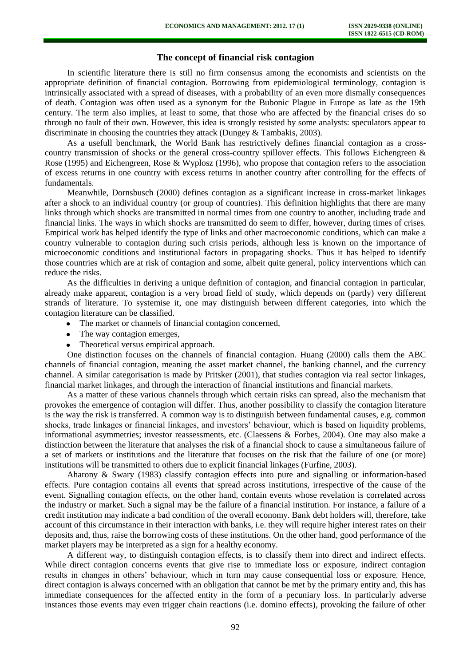## **The concept of financial risk contagion**

In scientific literature there is still no firm consensus among the economists and scientists on the appropriate definition of financial contagion. Borrowing from epidemiological terminology, contagion is intrinsically associated with a spread of diseases, with a probability of an even more dismally consequences of death. Contagion was often used as a synonym for the Bubonic Plague in Europe as late as the 19th century. The term also implies, at least to some, that those who are affected by the financial crises do so through no fault of their own. However, this idea is strongly resisted by some analysts: speculators appear to discriminate in choosing the countries they attack (Dungey & Tambakis, 2003).

As a usefull benchmark, the World Bank has restrictively defines financial contagion as a crosscountry transmission of shocks or the general cross-country spillover effects. This follows Eichengreen & Rose (1995) and Eichengreen, Rose & Wyplosz (1996), who propose that contagion refers to the association of excess returns in one country with excess returns in another country after controlling for the effects of fundamentals.

Meanwhile, Dornsbusch (2000) defines contagion as a significant increase in cross-market linkages after a shock to an individual country (or group of countries). This definition highlights that there are many links through which shocks are transmitted in normal times from one country to another, including trade and financial links. The ways in which shocks are transmitted do seem to differ, however, during times of crises. Empirical work has helped identify the type of links and other macroeconomic conditions, which can make a country vulnerable to contagion during such crisis periods, although less is known on the importance of microeconomic conditions and institutional factors in propagating shocks. Thus it has helped to identify those countries which are at risk of contagion and some, albeit quite general, policy interventions which can reduce the risks.

As the difficulties in deriving a unique definition of contagion, and financial contagion in particular, already make apparent, contagion is a very broad field of study, which depends on (partly) very different strands of literature. To systemise it, one may distinguish between different categories, into which the contagion literature can be classified.

- The market or channels of financial contagion concerned,
- The way contagion emerges,
- Theoretical versus empirical approach.

One distinction focuses on the channels of financial contagion. Huang (2000) calls them the ABC channels of financial contagion, meaning the asset market channel, the banking channel, and the currency channel. A similar categorisation is made by Pritsker (2001), that studies contagion via real sector linkages, financial market linkages, and through the interaction of financial institutions and financial markets.

As a matter of these various channels through which certain risks can spread, also the mechanism that provokes the emergence of contagion will differ. Thus, another possibility to classify the contagion literature is the way the risk is transferred. A common way is to distinguish between fundamental causes, e.g. common shocks, trade linkages or financial linkages, and investors' behaviour, which is based on liquidity problems, informational asymmetries; investor reassessments, etc. (Claessens & Forbes, 2004). One may also make a distinction between the literature that analyses the risk of a financial shock to cause a simultaneous failure of a set of markets or institutions and the literature that focuses on the risk that the failure of one (or more) institutions will be transmitted to others due to explicit financial linkages (Furfine, 2003).

Aharony & Swary (1983) classify contagion effects into pure and signalling or information-based effects. Pure contagion contains all events that spread across institutions, irrespective of the cause of the event. Signalling contagion effects, on the other hand, contain events whose revelation is correlated across the industry or market. Such a signal may be the failure of a financial institution. For instance, a failure of a credit institution may indicate a bad condition of the overall economy. Bank debt holders will, therefore, take account of this circumstance in their interaction with banks, i.e. they will require higher interest rates on their deposits and, thus, raise the borrowing costs of these institutions. On the other hand, good performance of the market players may be interpreted as a sign for a healthy economy.

A different way, to distinguish contagion effects, is to classify them into direct and indirect effects. While direct contagion concerns events that give rise to immediate loss or exposure, indirect contagion results in changes in others' behaviour, which in turn may cause consequential loss or exposure. Hence, direct contagion is always concerned with an obligation that cannot be met by the primary entity and, this has immediate consequences for the affected entity in the form of a pecuniary loss. In particularly adverse instances those events may even trigger chain reactions (i.e. domino effects), provoking the failure of other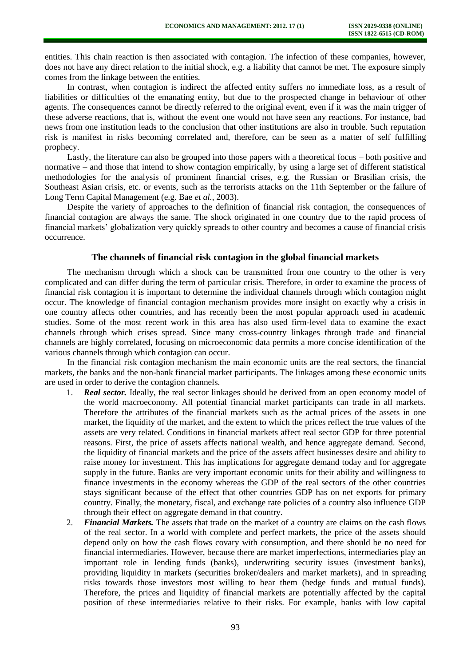entities. This chain reaction is then associated with contagion. The infection of these companies, however, does not have any direct relation to the initial shock, e.g. a liability that cannot be met. The exposure simply comes from the linkage between the entities.

In contrast, when contagion is indirect the affected entity suffers no immediate loss, as a result of liabilities or difficulties of the emanating entity, but due to the prospected change in behaviour of other agents. The consequences cannot be directly referred to the original event, even if it was the main trigger of these adverse reactions, that is, without the event one would not have seen any reactions. For instance, bad news from one institution leads to the conclusion that other institutions are also in trouble. Such reputation risk is manifest in risks becoming correlated and, therefore, can be seen as a matter of self fulfilling prophecy.

Lastly, the literature can also be grouped into those papers with a theoretical focus – both positive and normative – and those that intend to show contagion empirically, by using a large set of different statistical methodologies for the analysis of prominent financial crises, e.g. the Russian or Brasilian crisis, the Southeast Asian crisis, etc. or events, such as the terrorists attacks on the 11th September or the failure of Long Term Capital Management (e.g. Bae *et al.*, 2003).

Despite the variety of approaches to the definition of financial risk contagion, the consequences of financial contagion are always the same. The shock originated in one country due to the rapid process of financial markets' globalization very quickly spreads to other country and becomes a cause of financial crisis occurrence.

#### **The channels of financial risk contagion in the global financial markets**

The mechanism through which a shock can be transmitted from one country to the other is very complicated and can differ during the term of particular crisis. Therefore, in order to examine the process of financial risk contagion it is important to determine the individual channels through which contagion might occur. The knowledge of financial contagion mechanism provides more insight on exactly why a crisis in one country affects other countries, and has recently been the most popular approach used in academic studies. Some of the most recent work in this area has also used firm-level data to examine the exact channels through which crises spread. Since many cross-country linkages through trade and financial channels are highly correlated, focusing on microeconomic data permits a more concise identification of the various channels through which contagion can occur.

In the financial risk contagion mechanism the main economic units are the real sectors, the financial markets, the banks and the non-bank financial market participants. The linkages among these economic units are used in order to derive the contagion channels.

- 1. *Real sector.* Ideally, the real sector linkages should be derived from an open economy model of the world macroeconomy. All potential financial market participants can trade in all markets. Therefore the attributes of the financial markets such as the actual prices of the assets in one market, the liquidity of the market, and the extent to which the prices reflect the true values of the assets are very related. Conditions in financial markets affect real sector GDP for three potential reasons. First, the price of assets affects national wealth, and hence aggregate demand. Second, the liquidity of financial markets and the price of the assets affect businesses desire and ability to raise money for investment. This has implications for aggregate demand today and for aggregate supply in the future. Banks are very important economic units for their ability and willingness to finance investments in the economy whereas the GDP of the real sectors of the other countries stays significant because of the effect that other countries GDP has on net exports for primary country. Finally, the monetary, fiscal, and exchange rate policies of a country also influence GDP through their effect on aggregate demand in that country.
- 2. *Financial Markets.* The assets that trade on the market of a country are claims on the cash flows of the real sector. In a world with complete and perfect markets, the price of the assets should depend only on how the cash flows covary with consumption, and there should be no need for financial intermediaries. However, because there are market imperfections, intermediaries play an important role in lending funds (banks), underwriting security issues (investment banks), providing liquidity in markets (securities broker/dealers and market markets), and in spreading risks towards those investors most willing to bear them (hedge funds and mutual funds). Therefore, the prices and liquidity of financial markets are potentially affected by the capital position of these intermediaries relative to their risks. For example, banks with low capital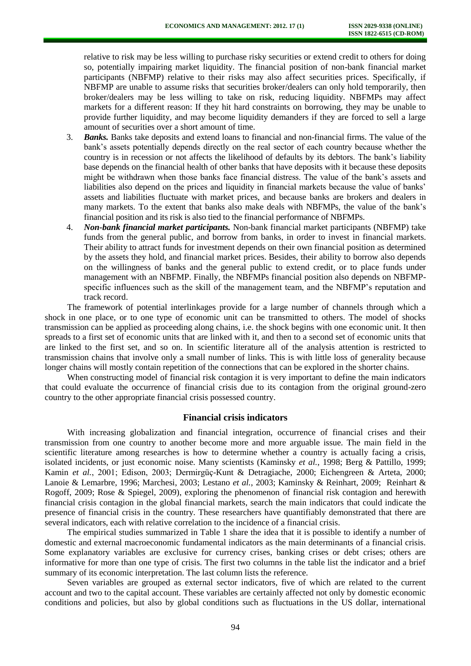relative to risk may be less willing to purchase risky securities or extend credit to others for doing so, potentially impairing market liquidity. The financial position of non-bank financial market participants (NBFMP) relative to their risks may also affect securities prices. Specifically, if NBFMP are unable to assume risks that securities broker/dealers can only hold temporarily, then broker/dealers may be less willing to take on risk, reducing liquidity. NBFMPs may affect markets for a different reason: If they hit hard constraints on borrowing, they may be unable to provide further liquidity, and may become liquidity demanders if they are forced to sell a large amount of securities over a short amount of time.

- 3. *Banks.* Banks take deposits and extend loans to financial and non-financial firms. The value of the bank's assets potentially depends directly on the real sector of each country because whether the country is in recession or not affects the likelihood of defaults by its debtors. The bank's liability base depends on the financial health of other banks that have deposits with it because these deposits might be withdrawn when those banks face financial distress. The value of the bank's assets and liabilities also depend on the prices and liquidity in financial markets because the value of banks' assets and liabilities fluctuate with market prices, and because banks are brokers and dealers in many markets. To the extent that banks also make deals with NBFMPs, the value of the bank's financial position and its risk is also tied to the financial performance of NBFMPs.
- 4. *Non-bank financial market participants.* Non-bank financial market participants (NBFMP) take funds from the general public, and borrow from banks, in order to invest in financial markets. Their ability to attract funds for investment depends on their own financial position as determined by the assets they hold, and financial market prices. Besides, their ability to borrow also depends on the willingness of banks and the general public to extend credit, or to place funds under management with an NBFMP. Finally, the NBFMPs financial position also depends on NBFMPspecific influences such as the skill of the management team, and the NBFMP's reputation and track record.

The framework of potential interlinkages provide for a large number of channels through which a shock in one place, or to one type of economic unit can be transmitted to others. The model of shocks transmission can be applied as proceeding along chains, i.e. the shock begins with one economic unit. It then spreads to a first set of economic units that are linked with it, and then to a second set of economic units that are linked to the first set, and so on. In scientific literature all of the analysis attention is restricted to transmission chains that involve only a small number of links. This is with little loss of generality because longer chains will mostly contain repetition of the connections that can be explored in the shorter chains.

When constructing model of financial risk contagion it is very important to define the main indicators that could evaluate the occurrence of financial crisis due to its contagion from the original ground-zero country to the other appropriate financial crisis possessed country.

## **Financial crisis indicators**

With increasing globalization and financial integration, occurrence of financial crises and their transmission from one country to another become more and more arguable issue. The main field in the scientific literature among researches is how to determine whether a country is actually facing a crisis, isolated incidents, or just economic noise. Many scientists (Kaminsky *et al.*, 1998; Berg & Pattillo, 1999; Kamin *et al.*, 2001; Edison, 2003; Dermirgüç-Kunt & Detragiache, 2000; Eichengreen & Arteta, 2000; Lanoie & Lemarbre, 1996; Marchesi, 2003; Lestano *et al.*, 2003; Kaminsky & Reinhart, 2009; Reinhart & Rogoff, 2009; Rose & Spiegel, 2009), exploring the phenomenon of financial risk contagion and herewith financial crisis contagion in the global financial markets, search the main indicators that could indicate the presence of financial crisis in the country. These researchers have quantifiably demonstrated that there are several indicators, each with relative correlation to the incidence of a financial crisis.

The empirical studies summarized in Table 1 share the idea that it is possible to identify a number of domestic and external macroeconomic fundamental indicators as the main determinants of a financial crisis. Some explanatory variables are exclusive for currency crises, banking crises or debt crises; others are informative for more than one type of crisis. The first two columns in the table list the indicator and a brief summary of its economic interpretation. The last column lists the reference.

Seven variables are grouped as external sector indicators, five of which are related to the current account and two to the capital account. These variables are certainly affected not only by domestic economic conditions and policies, but also by global conditions such as fluctuations in the US dollar, international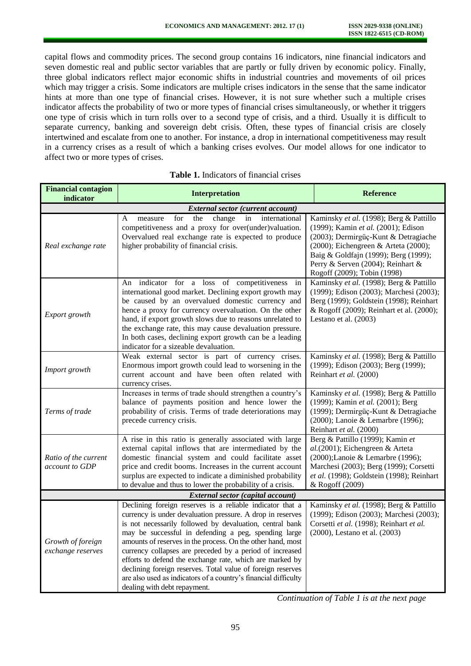capital flows and commodity prices. The second group contains 16 indicators, nine financial indicators and seven domestic real and public sector variables that are partly or fully driven by economic policy. Finally, three global indicators reflect major economic shifts in industrial countries and movements of oil prices which may trigger a crisis. Some indicators are multiple crises indicators in the sense that the same indicator hints at more than one type of financial crises. However, it is not sure whether such a multiple crises indicator affects the probability of two or more types of financial crises simultaneously, or whether it triggers one type of crisis which in turn rolls over to a second type of crisis, and a third. Usually it is difficult to separate currency, banking and sovereign debt crisis. Often, these types of financial crisis are closely intertwined and escalate from one to another. For instance, a drop in international competitiveness may result in a currency crises as a result of which a banking crises evolves. Our model allows for one indicator to affect two or more types of crises.

| т шапски сонкадон<br>indicator           | <b>Interpretation</b>                                                                                                                                                                                                                                                                                                                                                                                                                                                                                                                                                                                | <b>Reference</b>                                                                                                                                                                                                                                                           |  |  |  |  |
|------------------------------------------|------------------------------------------------------------------------------------------------------------------------------------------------------------------------------------------------------------------------------------------------------------------------------------------------------------------------------------------------------------------------------------------------------------------------------------------------------------------------------------------------------------------------------------------------------------------------------------------------------|----------------------------------------------------------------------------------------------------------------------------------------------------------------------------------------------------------------------------------------------------------------------------|--|--|--|--|
| <b>External sector (current account)</b> |                                                                                                                                                                                                                                                                                                                                                                                                                                                                                                                                                                                                      |                                                                                                                                                                                                                                                                            |  |  |  |  |
| Real exchange rate                       | for<br>the<br>change<br>international<br>A<br>measure<br>in<br>competitiveness and a proxy for over(under)valuation.<br>Overvalued real exchange rate is expected to produce<br>higher probability of financial crisis.                                                                                                                                                                                                                                                                                                                                                                              | Kaminsky et al. (1998); Berg & Pattillo<br>(1999); Kamin et al. (2001); Edison<br>(2003); Dermirgüç-Kunt & Detragiache<br>(2000); Eichengreen & Arteta (2000);<br>Baig & Goldfajn (1999); Berg (1999);<br>Perry & Serven (2004); Reinhart &<br>Rogoff (2009); Tobin (1998) |  |  |  |  |
| Export growth                            | An indicator for a loss of competitiveness<br>in<br>international good market. Declining export growth may<br>be caused by an overvalued domestic currency and<br>hence a proxy for currency overvaluation. On the other<br>hand, if export growth slows due to reasons unrelated to<br>the exchange rate, this may cause devaluation pressure.<br>In both cases, declining export growth can be a leading<br>indicator for a sizeable devaluation.                                                                                                                                                  | Kaminsky et al. (1998); Berg & Pattillo<br>(1999); Edison (2003); Marchesi (2003);<br>Berg (1999); Goldstein (1998); Reinhart<br>& Rogoff (2009); Reinhart et al. (2000);<br>Lestano et al. $(2003)$                                                                       |  |  |  |  |
| Import growth                            | Weak external sector is part of currency crises.<br>Enormous import growth could lead to worsening in the<br>current account and have been often related with<br>currency crises.                                                                                                                                                                                                                                                                                                                                                                                                                    | Kaminsky et al. (1998); Berg & Pattillo<br>(1999); Edison (2003); Berg (1999);<br>Reinhart et al. (2000)                                                                                                                                                                   |  |  |  |  |
| Terms of trade                           | Increases in terms of trade should strengthen a country's<br>balance of payments position and hence lower the<br>probability of crisis. Terms of trade deteriorations may<br>precede currency crisis.                                                                                                                                                                                                                                                                                                                                                                                                | Kaminsky et al. (1998); Berg & Pattillo<br>(1999); Kamin et al. (2001); Berg<br>(1999); Dermirgüç-Kunt & Detragiache<br>(2000); Lanoie & Lemarbre (1996);<br>Reinhart et al. (2000)                                                                                        |  |  |  |  |
| Ratio of the current<br>account to GDP   | A rise in this ratio is generally associated with large<br>external capital inflows that are intermediated by the<br>domestic financial system and could facilitate asset<br>price and credit booms. Increases in the current account<br>surplus are expected to indicate a diminished probability<br>to devalue and thus to lower the probability of a crisis.                                                                                                                                                                                                                                      | Berg & Pattillo (1999); Kamin et<br>$al. (2001)$ ; Eichengreen & Arteta<br>(2000);Lanoie & Lemarbre (1996);<br>Marchesi (2003); Berg (1999); Corsetti<br>et al. (1998); Goldstein (1998); Reinhart<br>& Rogoff (2009)                                                      |  |  |  |  |
| External sector (capital account)        |                                                                                                                                                                                                                                                                                                                                                                                                                                                                                                                                                                                                      |                                                                                                                                                                                                                                                                            |  |  |  |  |
| Growth of foreign<br>exchange reserves   | Declining foreign reserves is a reliable indicator that a<br>currency is under devaluation pressure. A drop in reserves<br>is not necessarily followed by devaluation, central bank<br>may be successful in defending a peg, spending large<br>amounts of reserves in the process. On the other hand, most<br>currency collapses are preceded by a period of increased<br>efforts to defend the exchange rate, which are marked by<br>declining foreign reserves. Total value of foreign reserves<br>are also used as indicators of a country's financial difficulty<br>dealing with debt repayment. | Kaminsky et al. (1998); Berg & Pattillo<br>(1999); Edison (2003); Marchesi (2003);<br>Corsetti et al. (1998); Reinhart et al.<br>(2000), Lestano et al. (2003)                                                                                                             |  |  |  |  |

#### **Table 1.** Indicators of financial crises

**Financial contagion** 

*Continuation of Table 1 is at the next page*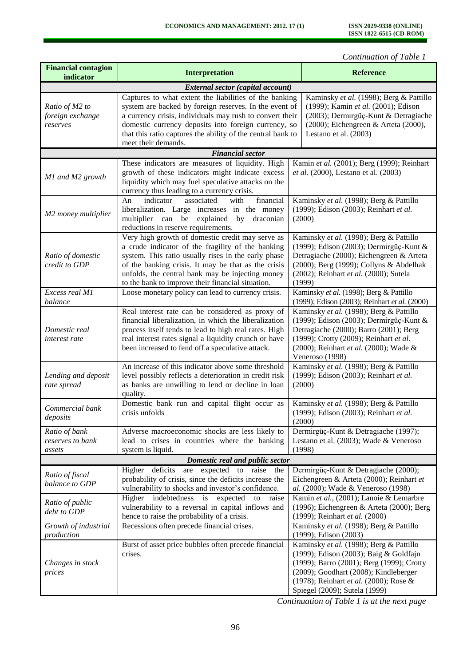*Continuation of Table 1* 

| <b>Financial contagion</b><br>indicator        | <b>Interpretation</b>                                                                                                                                                                                                                                                                                                        |                                                                                                                                                                                                                                     | <b>Reference</b>                                                                                                                                                                                                                                   |  |  |  |
|------------------------------------------------|------------------------------------------------------------------------------------------------------------------------------------------------------------------------------------------------------------------------------------------------------------------------------------------------------------------------------|-------------------------------------------------------------------------------------------------------------------------------------------------------------------------------------------------------------------------------------|----------------------------------------------------------------------------------------------------------------------------------------------------------------------------------------------------------------------------------------------------|--|--|--|
|                                                | <b>External sector (capital account)</b>                                                                                                                                                                                                                                                                                     |                                                                                                                                                                                                                                     |                                                                                                                                                                                                                                                    |  |  |  |
| Ratio of M2 to<br>foreign exchange<br>reserves | Captures to what extent the liabilities of the banking<br>system are backed by foreign reserves. In the event of<br>a currency crisis, individuals may rush to convert their<br>domestic currency deposits into foreign currency, so<br>that this ratio captures the ability of the central bank to<br>meet their demands.   |                                                                                                                                                                                                                                     | Kaminsky et al. (1998); Berg & Pattillo<br>(1999); Kamin et al. (2001); Edison<br>(2003); Dermirgüç-Kunt & Detragiache<br>(2000); Eichengreen & Arteta (2000),<br>Lestano et al. (2003)                                                            |  |  |  |
| <b>Financial sector</b>                        |                                                                                                                                                                                                                                                                                                                              |                                                                                                                                                                                                                                     |                                                                                                                                                                                                                                                    |  |  |  |
| M1 and M2 growth                               | These indicators are measures of liquidity. High<br>growth of these indicators might indicate excess<br>liquidity which may fuel speculative attacks on the<br>currency thus leading to a currency crisis.                                                                                                                   |                                                                                                                                                                                                                                     | Kamin et al. (2001); Berg (1999); Reinhart<br>et al. (2000), Lestano et al. (2003)                                                                                                                                                                 |  |  |  |
| M2 money multiplier                            | indicator<br>associated<br>financial<br>An<br>with<br>liberalization. Large increases in the money<br>multiplier can be explained by draconian<br>reductions in reserve requirements.                                                                                                                                        | Kaminsky et al. (1998); Berg & Pattillo<br>(1999); Edison (2003); Reinhart et al.<br>(2000)                                                                                                                                         |                                                                                                                                                                                                                                                    |  |  |  |
| Ratio of domestic<br>credit to GDP             | Very high growth of domestic credit may serve as<br>a crude indicator of the fragility of the banking<br>system. This ratio usually rises in the early phase<br>of the banking crisis. It may be that as the crisis<br>unfolds, the central bank may be injecting money<br>to the bank to improve their financial situation. | Kaminsky et al. (1998); Berg & Pattillo<br>(1999); Edison (2003); Dermirgüç-Kunt &<br>Detragiache (2000); Eichengreen & Arteta<br>(2000); Berg (1999); Collyns & Abdelhak<br>(2002); Reinhart et al. (2000); Sutela<br>(1999)       |                                                                                                                                                                                                                                                    |  |  |  |
| Excess real M1<br>balance                      | Loose monetary policy can lead to currency crisis.                                                                                                                                                                                                                                                                           | Kaminsky et al. (1998); Berg & Pattillo<br>(1999); Edison (2003); Reinhart et al. (2000)                                                                                                                                            |                                                                                                                                                                                                                                                    |  |  |  |
| Domestic real<br>interest rate                 | Real interest rate can be considered as proxy of<br>financial liberalization, in which the liberalization<br>process itself tends to lead to high real rates. High<br>real interest rates signal a liquidity crunch or have<br>been increased to fend off a speculative attack.                                              | Kaminsky et al. (1998); Berg & Pattillo<br>(1999); Edison (2003); Dermirgüç-Kunt &<br>Detragiache (2000); Barro (2001); Berg<br>(1999); Crotty (2009); Reinhart et al.<br>(2000); Reinhart et al. (2000); Wade &<br>Veneroso (1998) |                                                                                                                                                                                                                                                    |  |  |  |
| Lending and deposit<br>rate spread             | An increase of this indicator above some threshold<br>level possibly reflects a deterioration in credit risk<br>as banks are unwilling to lend or decline in loan<br>quality.                                                                                                                                                | Kaminsky et al. (1998); Berg & Pattillo<br>(1999); Edison (2003); Reinhart et al.<br>(2000)                                                                                                                                         |                                                                                                                                                                                                                                                    |  |  |  |
| Commercial bank<br>deposits                    | Domestic bank run and capital flight occur as<br>crisis unfolds                                                                                                                                                                                                                                                              | Kaminsky et al. (1998); Berg & Pattillo<br>(1999); Edison (2003); Reinhart et al.<br>(2000)                                                                                                                                         |                                                                                                                                                                                                                                                    |  |  |  |
| Ratio of bank<br>reserves to bank<br>assets    | Adverse macroeconomic shocks are less likely to<br>lead to crises in countries where the banking<br>system is liquid.                                                                                                                                                                                                        | (1998)                                                                                                                                                                                                                              | Dermirgüç-Kunt & Detragiache (1997);<br>Lestano et al. (2003); Wade & Veneroso                                                                                                                                                                     |  |  |  |
| Domestic real and public sector                |                                                                                                                                                                                                                                                                                                                              |                                                                                                                                                                                                                                     |                                                                                                                                                                                                                                                    |  |  |  |
| Ratio of fiscal<br>balance to GDP              | Higher deficits<br>are expected to raise the<br>probability of crisis, since the deficits increase the<br>vulnerability to shocks and investor's confidence.                                                                                                                                                                 |                                                                                                                                                                                                                                     | Dermirgüç-Kunt & Detragiache (2000);<br>Eichengreen & Arteta (2000); Reinhart et<br>al. (2000); Wade & Veneroso (1998)                                                                                                                             |  |  |  |
| Ratio of public<br>debt to GDP                 | indebtedness is expected to raise<br>Higher<br>vulnerability to a reversal in capital inflows and<br>hence to raise the probability of a crisis.                                                                                                                                                                             |                                                                                                                                                                                                                                     | Kamin et al., (2001); Lanoie & Lemarbre<br>(1996); Eichengreen & Arteta (2000); Berg<br>(1999); Reinhart et al. (2000)                                                                                                                             |  |  |  |
| Growth of industrial<br>production             | Recessions often precede financial crises.                                                                                                                                                                                                                                                                                   | Kaminsky et al. (1998); Berg & Pattillo<br>(1999); Edison (2003)                                                                                                                                                                    |                                                                                                                                                                                                                                                    |  |  |  |
| Changes in stock<br>prices                     | Burst of asset price bubbles often precede financial<br>crises.                                                                                                                                                                                                                                                              |                                                                                                                                                                                                                                     | Kaminsky et al. (1998); Berg & Pattillo<br>(1999); Edison (2003); Baig & Goldfajn<br>(1999); Barro (2001); Berg (1999); Crotty<br>(2009); Goodhart (2008); Kindleberger<br>(1978); Reinhart et al. (2000); Rose &<br>Spiegel (2009); Sutela (1999) |  |  |  |

*Continuation of Table 1 is at the next page*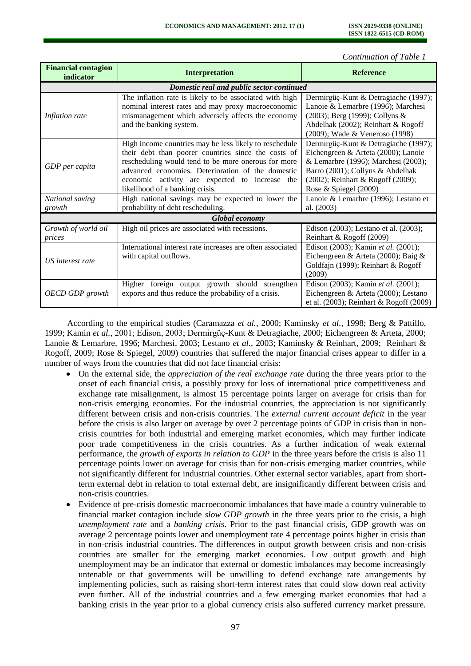*Continuation of Table 1* 

| <b>Financial contagion</b><br>indicator   | <b>Interpretation</b>                                                                                                                                                                                                                                                                                          | <b>Reference</b>                                                                                                                                                                                                     |  |  |  |
|-------------------------------------------|----------------------------------------------------------------------------------------------------------------------------------------------------------------------------------------------------------------------------------------------------------------------------------------------------------------|----------------------------------------------------------------------------------------------------------------------------------------------------------------------------------------------------------------------|--|--|--|
| Domestic real and public sector continued |                                                                                                                                                                                                                                                                                                                |                                                                                                                                                                                                                      |  |  |  |
| Inflation rate                            | The inflation rate is likely to be associated with high<br>nominal interest rates and may proxy macroeconomic<br>mismanagement which adversely affects the economy<br>and the banking system.                                                                                                                  | Dermirgüç-Kunt & Detragiache (1997);<br>Lanoie & Lemarbre (1996); Marchesi<br>(2003); Berg (1999); Collyns &<br>Abdelhak (2002); Reinhart & Rogoff<br>(2009); Wade & Veneroso (1998)                                 |  |  |  |
| GDP per capita                            | High income countries may be less likely to reschedule<br>their debt than poorer countries since the costs of<br>rescheduling would tend to be more onerous for more<br>advanced economies. Deterioration of the domestic<br>economic activity are expected to increase the<br>likelihood of a banking crisis. | Dermirgüç-Kunt & Detragiache (1997);<br>Eichengreen & Arteta (2000); Lanoie<br>& Lemarbre (1996); Marchesi (2003);<br>Barro (2001); Collyns & Abdelhak<br>(2002); Reinhart & Rogoff (2009);<br>Rose & Spiegel (2009) |  |  |  |
| National saving<br>growth                 | High national savings may be expected to lower the<br>probability of debt rescheduling.                                                                                                                                                                                                                        | Lanoie & Lemarbre (1996); Lestano et<br>al. (2003)                                                                                                                                                                   |  |  |  |
| <b>Global economy</b>                     |                                                                                                                                                                                                                                                                                                                |                                                                                                                                                                                                                      |  |  |  |
| Growth of world oil<br>prices             | High oil prices are associated with recessions.                                                                                                                                                                                                                                                                | Edison (2003); Lestano et al. (2003);<br>Reinhart & Rogoff (2009)                                                                                                                                                    |  |  |  |
| US interest rate                          | International interest rate increases are often associated<br>with capital outflows.                                                                                                                                                                                                                           | Edison (2003); Kamin et al. (2001);<br>Eichengreen & Arteta (2000); Baig &<br>Goldfajn (1999); Reinhart & Rogoff<br>(2009)                                                                                           |  |  |  |
| OECD GDP growth                           | foreign output growth should strengthen<br>Higher<br>exports and thus reduce the probability of a crisis.                                                                                                                                                                                                      | Edison (2003); Kamin et al. (2001);<br>Eichengreen & Arteta (2000); Lestano<br>et al. $(2003)$ ; Reinhart & Rogoff $(2009)$                                                                                          |  |  |  |

According to the empirical studies (Caramazza *et al.*, 2000; Kaminsky *et al.*, 1998; Berg & Pattillo, 1999; Kamin *et al.*, 2001; Edison, 2003; Dermirgüç-Kunt & Detragiache, 2000; Eichengreen & Arteta, 2000; Lanoie & Lemarbre, 1996; Marchesi, 2003; Lestano *et al.*, 2003; Kaminsky & Reinhart, 2009; Reinhart & Rogoff, 2009; Rose & Spiegel, 2009) countries that suffered the major financial crises appear to differ in a number of ways from the countries that did not face financial crisis:

- On the external side, the *appreciation of the real exchange rate* during the three years prior to the onset of each financial crisis, a possibly proxy for loss of international price competitiveness and exchange rate misalignment, is almost 15 percentage points larger on average for crisis than for non-crisis emerging economies. For the industrial countries, the appreciation is not significantly different between crisis and non-crisis countries. The *external current account deficit* in the year before the crisis is also larger on average by over 2 percentage points of GDP in crisis than in noncrisis countries for both industrial and emerging market economies, which may further indicate poor trade competitiveness in the crisis countries. As a further indication of weak external performance, the *growth of exports in relation to GDP* in the three years before the crisis is also 11 percentage points lower on average for crisis than for non-crisis emerging market countries, while not significantly different for industrial countries. Other external sector variables, apart from shortterm external debt in relation to total external debt, are insignificantly different between crisis and non-crisis countries.
- Evidence of pre-crisis domestic macroeconomic imbalances that have made a country vulnerable to financial market contagion include *slow GDP growth* in the three years prior to the crisis, a high *unemployment rate* and a *banking crisis*. Prior to the past financial crisis, GDP growth was on average 2 percentage points lower and unemployment rate 4 percentage points higher in crisis than in non-crisis industrial countries. The differences in output growth between crisis and non-crisis countries are smaller for the emerging market economies. Low output growth and high unemployment may be an indicator that external or domestic imbalances may become increasingly untenable or that governments will be unwilling to defend exchange rate arrangements by implementing policies, such as raising short-term interest rates that could slow down real activity even further. All of the industrial countries and a few emerging market economies that had a banking crisis in the year prior to a global currency crisis also suffered currency market pressure.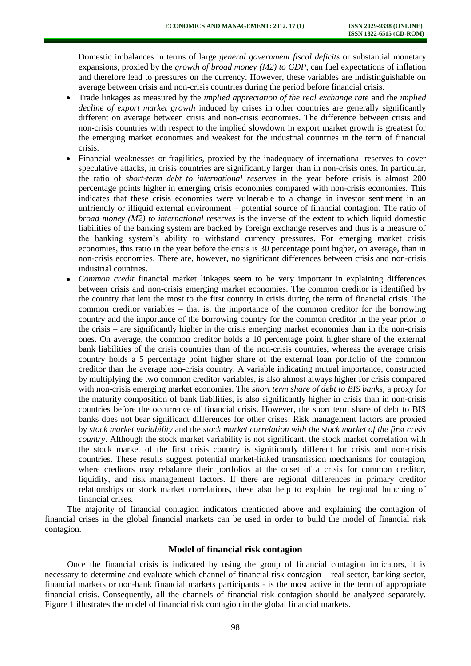Domestic imbalances in terms of large *general government fiscal deficits* or substantial monetary expansions, proxied by the *growth of broad money (M2) to GDP*, can fuel expectations of inflation and therefore lead to pressures on the currency. However, these variables are indistinguishable on average between crisis and non-crisis countries during the period before financial crisis.

- Trade linkages as measured by the *implied appreciation of the real exchange rate* and the *implied decline of export market growth* induced by crises in other countries are generally significantly different on average between crisis and non-crisis economies. The difference between crisis and non-crisis countries with respect to the implied slowdown in export market growth is greatest for the emerging market economies and weakest for the industrial countries in the term of financial crisis.
- Financial weaknesses or fragilities, proxied by the inadequacy of international reserves to cover speculative attacks, in crisis countries are significantly larger than in non-crisis ones. In particular, the ratio of *short-term debt to international reserves* in the year before crisis is almost 200 percentage points higher in emerging crisis economies compared with non-crisis economies. This indicates that these crisis economies were vulnerable to a change in investor sentiment in an unfriendly or illiquid external environment – potential source of financial contagion. The ratio of *broad money (M2) to international reserves* is the inverse of the extent to which liquid domestic liabilities of the banking system are backed by foreign exchange reserves and thus is a measure of the banking system's ability to withstand currency pressures. For emerging market crisis economies, this ratio in the year before the crisis is 30 percentage point higher, on average, than in non-crisis economies. There are, however, no significant differences between crisis and non-crisis industrial countries.
- *Common credit* financial market linkages seem to be very important in explaining differences between crisis and non-crisis emerging market economies. The common creditor is identified by the country that lent the most to the first country in crisis during the term of financial crisis. The common creditor variables – that is, the importance of the common creditor for the borrowing country and the importance of the borrowing country for the common creditor in the year prior to the crisis – are significantly higher in the crisis emerging market economies than in the non-crisis ones. On average, the common creditor holds a 10 percentage point higher share of the external bank liabilities of the crisis countries than of the non-crisis countries, whereas the average crisis country holds a 5 percentage point higher share of the external loan portfolio of the common creditor than the average non-crisis country. A variable indicating mutual importance, constructed by multiplying the two common creditor variables, is also almost always higher for crisis compared with non-crisis emerging market economies. The *short term share of debt to BIS banks*, a proxy for the maturity composition of bank liabilities, is also significantly higher in crisis than in non-crisis countries before the occurrence of financial crisis. However, the short term share of debt to BIS banks does not bear significant differences for other crises. Risk management factors are proxied by *stock market variability* and the *stock market correlation with the stock market of the first crisis country*. Although the stock market variability is not significant, the stock market correlation with the stock market of the first crisis country is significantly different for crisis and non-crisis countries. These results suggest potential market-linked transmission mechanisms for contagion, where creditors may rebalance their portfolios at the onset of a crisis for common creditor, liquidity, and risk management factors. If there are regional differences in primary creditor relationships or stock market correlations, these also help to explain the regional bunching of financial crises.

The majority of financial contagion indicators mentioned above and explaining the contagion of financial crises in the global financial markets can be used in order to build the model of financial risk contagion.

## **Model of financial risk contagion**

Once the financial crisis is indicated by using the group of financial contagion indicators, it is necessary to determine and evaluate which channel of financial risk contagion – real sector, banking sector, financial markets or non-bank financial markets participants - is the most active in the term of appropriate financial crisis. Consequently, all the channels of financial risk contagion should be analyzed separately. Figure 1 illustrates the model of financial risk contagion in the global financial markets.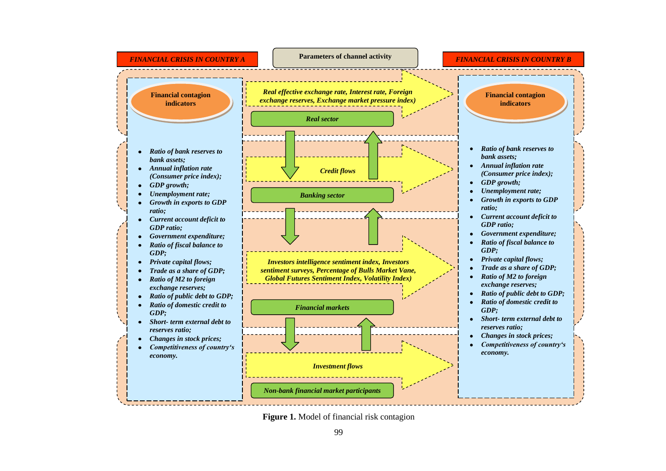

**Figure 1.** Model of financial risk contagion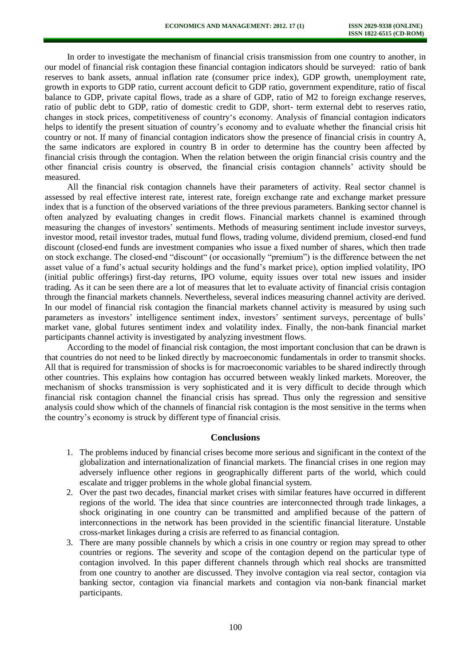In order to investigate the mechanism of financial crisis transmission from one country to another, in our model of financial risk contagion these financial contagion indicators should be surveyed: ratio of bank reserves to bank assets, annual inflation rate (consumer price index), GDP growth, unemployment rate, growth in exports to GDP ratio, current account deficit to GDP ratio, government expenditure, ratio of fiscal balance to GDP, private capital flows, trade as a share of GDP, ratio of M2 to foreign exchange reserves, ratio of public debt to GDP, ratio of domestic credit to GDP, short- term external debt to reserves ratio, changes in stock prices, competitiveness of country's economy. Analysis of financial contagion indicators helps to identify the present situation of country's economy and to evaluate whether the financial crisis hit country or not. If many of financial contagion indicators show the presence of financial crisis in country A, the same indicators are explored in country B in order to determine has the country been affected by financial crisis through the contagion. When the relation between the origin financial crisis country and the other financial crisis country is observed, the financial crisis contagion channels' activity should be measured.

All the financial risk contagion channels have their parameters of activity. Real sector channel is assessed by real effective interest rate, interest rate, foreign exchange rate and exchange market pressure index that is a function of the observed variations of the three previous parameters. Banking sector channel is often analyzed by evaluating changes in credit flows. Financial markets channel is examined through measuring the changes of investors' sentiments. Methods of measuring sentiment include investor surveys, investor mood, retail investor trades, mutual fund flows, trading volume, dividend premium, closed-end fund discount (closed-end funds are investment companies who issue a fixed number of shares, which then trade on stock exchange. The closed-end "discount" (or occasionally "premium") is the difference between the net asset value of a fund's actual security holdings and the fund's market price), option implied volatility, IPO (initial public offerings) first-day returns, IPO volume, equity issues over total new issues and insider trading. As it can be seen there are a lot of measures that let to evaluate activity of financial crisis contagion through the financial markets channels. Nevertheless, several indices measuring channel activity are derived. In our model of financial risk contagion the financial markets channel activity is measured by using such parameters as investors' intelligence sentiment index, investors' sentiment surveys, percentage of bulls' market vane, global futures sentiment index and volatility index. Finally, the non-bank financial market participants channel activity is investigated by analyzing investment flows.

According to the model of financial risk contagion, the most important conclusion that can be drawn is that countries do not need to be linked directly by macroeconomic fundamentals in order to transmit shocks. All that is required for transmission of shocks is for macroeconomic variables to be shared indirectly through other countries. This explains how contagion has occurred between weakly linked markets. Moreover, the mechanism of shocks transmission is very sophisticated and it is very difficult to decide through which financial risk contagion channel the financial crisis has spread. Thus only the regression and sensitive analysis could show which of the channels of financial risk contagion is the most sensitive in the terms when the country's economy is struck by different type of financial crisis.

## **Conclusions**

- 1. The problems induced by financial crises become more serious and significant in the context of the globalization and internationalization of financial markets. The financial crises in one region may adversely influence other regions in geographically different parts of the world, which could escalate and trigger problems in the whole global financial system.
- 2. Over the past two decades, financial market crises with similar features have occurred in different regions of the world. The idea that since countries are interconnected through trade linkages, a shock originating in one country can be transmitted and amplified because of the pattern of interconnections in the network has been provided in the scientific financial literature. Unstable cross-market linkages during a crisis are referred to as financial contagion.
- 3. There are many possible channels by which a crisis in one country or region may spread to other countries or regions. The severity and scope of the contagion depend on the particular type of contagion involved. In this paper different channels through which real shocks are transmitted from one country to another are discussed. They involve contagion via real sector, contagion via banking sector, contagion via financial markets and contagion via non-bank financial market participants.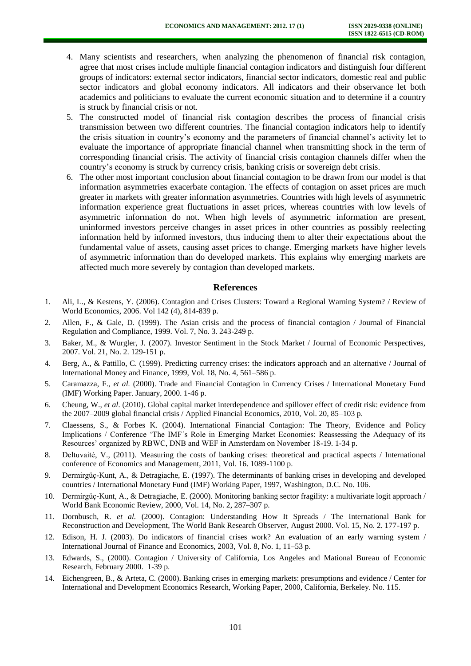- 4. Many scientists and researchers, when analyzing the phenomenon of financial risk contagion, agree that most crises include multiple financial contagion indicators and distinguish four different groups of indicators: external sector indicators, financial sector indicators, domestic real and public sector indicators and global economy indicators. All indicators and their observance let both academics and politicians to evaluate the current economic situation and to determine if a country is struck by financial crisis or not.
- 5. The constructed model of financial risk contagion describes the process of financial crisis transmission between two different countries. The financial contagion indicators help to identify the crisis situation in country's economy and the parameters of financial channel's activity let to evaluate the importance of appropriate financial channel when transmitting shock in the term of corresponding financial crisis. The activity of financial crisis contagion channels differ when the country's economy is struck by currency crisis, banking crisis or sovereign debt crisis.
- 6. The other most important conclusion about financial contagion to be drawn from our model is that information asymmetries exacerbate contagion. The effects of contagion on asset prices are much greater in markets with greater information asymmetries. Countries with high levels of asymmetric information experience great fluctuations in asset prices, whereas countries with low levels of asymmetric information do not. When high levels of asymmetric information are present, uninformed investors perceive changes in asset prices in other countries as possibly reelecting information held by informed investors, thus inducing them to alter their expectations about the fundamental value of assets, causing asset prices to change. Emerging markets have higher levels of asymmetric information than do developed markets. This explains why emerging markets are affected much more severely by contagion than developed markets.

#### **References**

- 1. Ali, L., & Kestens, Y. (2006). Contagion and Crises Clusters: Toward a Regional Warning System? / Review of World Economics, 2006. Vol 142 (4), 814-839 p.
- 2. Allen, F., & Gale, D. (1999). The Asian crisis and the process of financial contagion / Journal of Financial Regulation and Compliance, 1999. Vol. 7, No. 3. 243-249 p.
- 3. Baker, M., & Wurgler, J. (2007). Investor Sentiment in the Stock Market / Journal of Economic Perspectives, 2007. Vol. 21, No. 2. 129-151 p.
- 4. Berg, A., & Pattillo, C. (1999). Predicting currency crises: the indicators approach and an alternative / Journal of International Money and Finance, 1999, Vol. 18, No. 4, 561–586 p.
- 5. Caramazza, F., *et al.* (2000). Trade and Financial Contagion in Currency Crises / International Monetary Fund (IMF) Working Paper. January, 2000. 1-46 p.
- 6. Cheung, W., *et al*. (2010). Global capital market interdependence and spillover effect of credit risk: evidence from the 2007–2009 global financial crisis / Applied Financial Economics, 2010, Vol. 20, 85–103 p.
- 7. Claessens, S., & Forbes K. (2004). International Financial Contagion: The Theory, Evidence and Policy Implications / Conference 'The IMF´s Role in Emerging Market Economies: Reassessing the Adequacy of its Resources' organized by RBWC, DNB and WEF in Amsterdam on November 18-19. 1-34 p.
- 8. Deltuvaitė, V., (2011). Measuring the costs of banking crises: theoretical and practical aspects / International conference of Economics and Management, 2011, Vol. 16. 1089-1100 p.
- 9. Dermirgüç-Kunt, A., & Detragiache, E. (1997). The determinants of banking crises in developing and developed countries / International Monetary Fund (IMF) Working Paper, 1997, Washington, D.C. No. 106.
- 10. Dermirgüç-Kunt, A., & Detragiache, E. (2000). Monitoring banking sector fragility: a multivariate logit approach / World Bank Economic Review, 2000, Vol. 14, No. 2, 287–307 p.
- 11. Dornbusch, R. *et al.* (2000). Contagion: Understanding How It Spreads / The International Bank for Reconstruction and Development, The World Bank Research Observer, August 2000. Vol. 15, No. 2. 177-197 p.
- 12. Edison, H. J. (2003). Do indicators of financial crises work? An evaluation of an early warning system / International Journal of Finance and Economics, 2003, Vol. 8, No. 1, 11–53 p.
- 13. Edwards, S., (2000). Contagion / University of California, Los Angeles and Mational Bureau of Economic Research, February 2000. 1-39 p.
- 14. Eichengreen, B., & Arteta, C. (2000). Banking crises in emerging markets: presumptions and evidence / Center for International and Development Economics Research, Working Paper, 2000, California, Berkeley. No. 115.